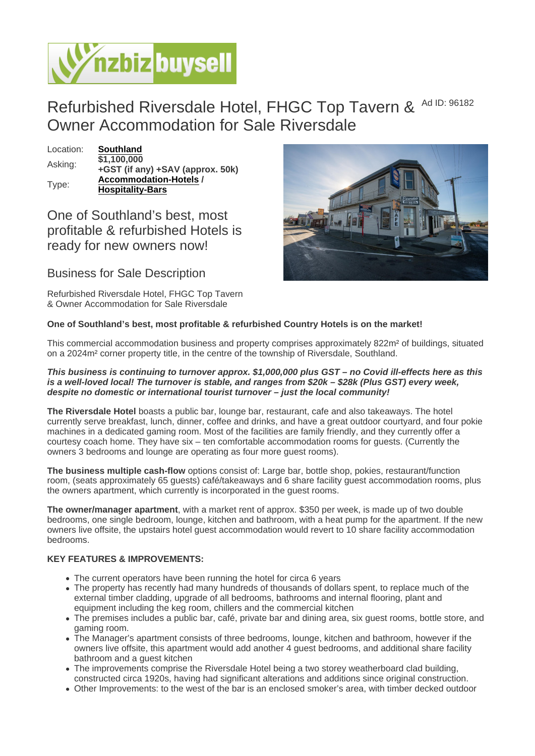## Refurbished Riversdale Hotel, FHGC Top Tavern & Ad ID: 96182 Owner Accommodation for Sale Riversdale

Location: [Southland](https://www.nzbizbuysell.co.nz/businesses-for-sale/location/Southland)  $\overline{$1,100,000}$ <br>Asking: +GST (if any) +SAV (appro[x. 50k\)](https://www.nzbizbuysell.co.nz/businesses-for-sale/Bars/New-Zealand) Type: [Accommodation-Hotels](https://www.nzbizbuysell.co.nz/businesses-for-sale/Hotels/New-Zealand) / Hospitality-Bars

One of Southland's best, most profitable & refurbished Hotels is ready for new owners now!

Business for Sale Description

Refurbished Riversdale Hotel, FHGC Top Tavern & Owner Accommodation for Sale Riversdale

One of Southland's best, most profitable & refurbished Country Hotels is on the market!

This commercial accommodation business and property comprises approximately 822m² of buildings, situated on a 2024m² corner property title, in the centre of the township of Riversdale, Southland.

This business is continuing to turnover approx. \$1,000,000 plus GST – no Covid ill-effects here as this is a well-loved local! The turnover is stable, and ranges from \$20k – \$28k (Plus GST) every week, despite no domestic or international tourist turnover – just the local community!

The Riversdale Hotel boasts a public bar, lounge bar, restaurant, cafe and also takeaways. The hotel currently serve breakfast, lunch, dinner, coffee and drinks, and have a great outdoor courtyard, and four pokie machines in a dedicated gaming room. Most of the facilities are family friendly, and they currently offer a courtesy coach home. They have six – ten comfortable accommodation rooms for guests. (Currently the owners 3 bedrooms and lounge are operating as four more guest rooms).

The business multiple cash-flow options consist of: Large bar, bottle shop, pokies, restaurant/function room, (seats approximately 65 guests) café/takeaways and 6 share facility guest accommodation rooms, plus the owners apartment, which currently is incorporated in the guest rooms.

The owner/manager apartment , with a market rent of approx. \$350 per week, is made up of two double bedrooms, one single bedroom, lounge, kitchen and bathroom, with a heat pump for the apartment. If the new owners live offsite, the upstairs hotel guest accommodation would revert to 10 share facility accommodation bedrooms.

## KEY FEATURES & IMPROVEMENTS:

- The current operators have been running the hotel for circa 6 years
- The property has recently had many hundreds of thousands of dollars spent, to replace much of the external timber cladding, upgrade of all bedrooms, bathrooms and internal flooring, plant and equipment including the keg room, chillers and the commercial kitchen
- The premises includes a public bar, café, private bar and dining area, six guest rooms, bottle store, and gaming room.
- The Manager's apartment consists of three bedrooms, lounge, kitchen and bathroom, however if the owners live offsite, this apartment would add another 4 guest bedrooms, and additional share facility bathroom and a guest kitchen
- The improvements comprise the Riversdale Hotel being a two storey weatherboard clad building, constructed circa 1920s, having had significant alterations and additions since original construction.
- Other Improvements: to the west of the bar is an enclosed smoker's area, with timber decked outdoor